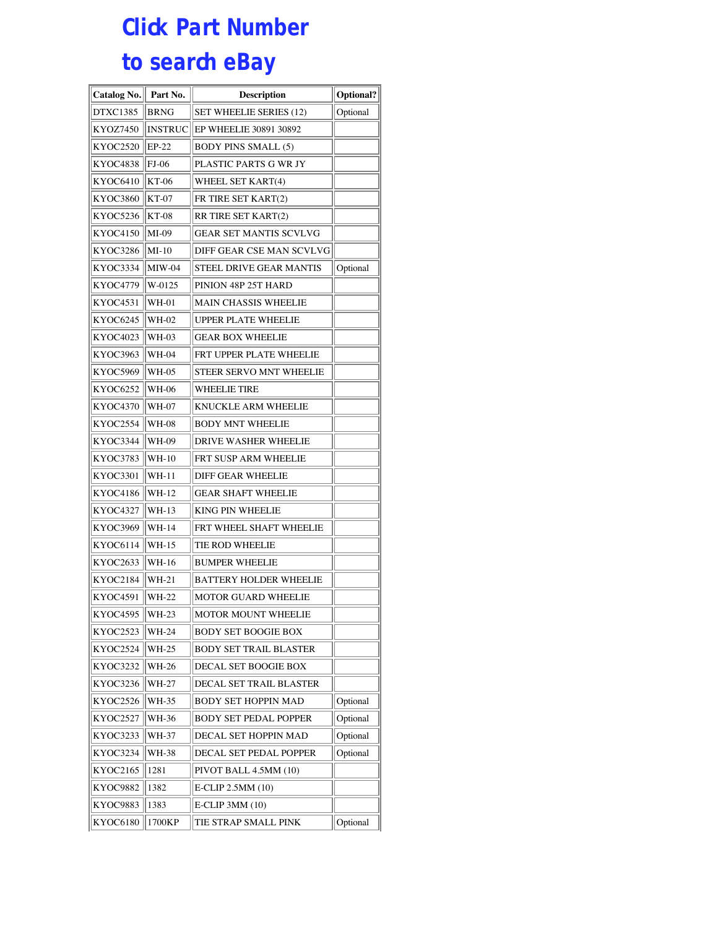## **Click Part Number to search eBay**

| Catalog No.     | Part No.       | <b>Description</b>             | <b>Optional?</b> |
|-----------------|----------------|--------------------------------|------------------|
| DTXC1385        | <b>BRNG</b>    | <b>SET WHEELIE SERIES (12)</b> | Optional         |
| KYOZ7450        | <b>INSTRUC</b> | <b>EP WHEELIE 30891 30892</b>  |                  |
| KYOC2520        | EP-22          | <b>BODY PINS SMALL (5)</b>     |                  |
| KYOC4838        | <b>FJ-06</b>   | PLASTIC PARTS G WR JY          |                  |
| KYOC6410        | KT-06          | WHEEL SET KART(4)              |                  |
| KYOC3860        | KT-07          | FR TIRE SET KART(2)            |                  |
| KYOC5236        | <b>KT-08</b>   | RR TIRE SET KART(2)            |                  |
| KYOC4150        | MI-09          | GEAR SET MANTIS SCVLVG         |                  |
| <b>KYOC3286</b> | $MI-10$        | DIFF GEAR CSE MAN SCVLVG       |                  |
| KYOC3334        | $MIW-04$       | STEEL DRIVE GEAR MANTIS        | Optional         |
| KYOC4779        | W-0125         | PINION 48P 25T HARD            |                  |
| KYOC4531        | <b>WH-01</b>   | MAIN CHASSIS WHEELIE           |                  |
| KYOC6245        | WH-02          | UPPER PLATE WHEELIE            |                  |
| <b>KYOC4023</b> | WH-03          | <b>GEAR BOX WHEELIE</b>        |                  |
| KYOC3963        | WH-04          | FRT UPPER PLATE WHEELIE        |                  |
| KYOC5969        | WH-05          | STEER SERVO MNT WHEELIE        |                  |
| KYOC6252        | WH-06          | <b>WHEELIE TIRE</b>            |                  |
| KYOC4370        | <b>WH-07</b>   | KNUCKLE ARM WHEELIE            |                  |
| KYOC2554        | WH-08          | <b>BODY MNT WHEELIE</b>        |                  |
| KYOC3344        | WH-09          | <b>DRIVE WASHER WHEELIE</b>    |                  |
| KYOC3783        | WH-10          | FRT SUSP ARM WHEELIE           |                  |
| KYOC3301        | WH-11          | <b>DIFF GEAR WHEELIE</b>       |                  |
| KYOC4186        | WH-12          | <b>GEAR SHAFT WHEELIE</b>      |                  |
| KYOC4327        | WH-13          | KING PIN WHEELIE               |                  |
| KYOC3969        | WH-14          | FRT WHEEL SHAFT WHEELIE        |                  |
| KYOC6114        | WH-15          | TIE ROD WHEELIE                |                  |
| KYOC2633        | WH-16          | <b>BUMPER WHEELIE</b>          |                  |
| KYOC2184        | WH-21          | BATTERY HOLDER WHEELIE         |                  |
| KYOC4591        | WH-22          | MOTOR GUARD WHEELIE            |                  |
| KYOC4595        | WH-23          | <b>MOTOR MOUNT WHEELIE</b>     |                  |
| KYOC2523        | WH-24          | <b>BODY SET BOOGIE BOX</b>     |                  |
| KYOC2524        | WH-25          | BODY SET TRAIL BLASTER         |                  |
| KYOC3232        | WH-26          | DECAL SET BOOGIE BOX           |                  |
| KYOC3236        | WH-27          | DECAL SET TRAIL BLASTER        |                  |
| KYOC2526        | WH-35          | <b>BODY SET HOPPIN MAD</b>     | Optional         |
| KYOC2527        | WH-36          | BODY SET PEDAL POPPER          | Optional         |
| <b>KYOC3233</b> | WH-37          | DECAL SET HOPPIN MAD           | Optional         |
| KYOC3234        | WH-38          | DECAL SET PEDAL POPPER         | Optional         |
| KYOC2165        | 1281           | PIVOT BALL 4.5MM (10)          |                  |
| KYOC9882        | 1382           | E-CLIP 2.5MM (10)              |                  |
| <b>KYOC9883</b> | 1383           | E-CLIP 3MM (10)                |                  |
| KYOC6180        | 1700KP         | TIE STRAP SMALL PINK           | Optional         |